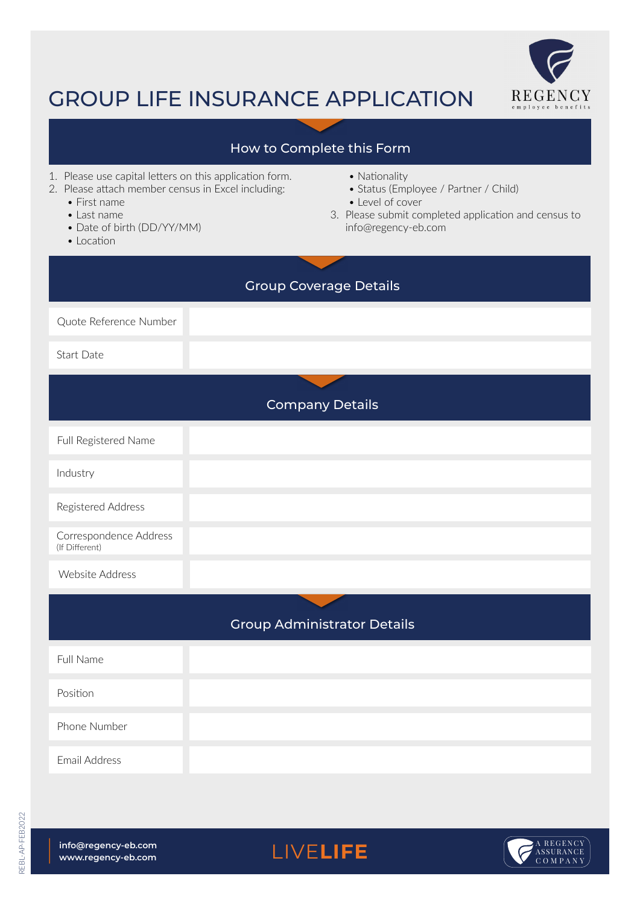

## GROUP LIFE INSURANCE APPLICATION

## Website Address Website AddressCompany Details Group Coverage Details Group Administrator Details Quote Reference Number Full Name Phone Number Position Email Address Start Date How to Complete this Form 1. Please use capital letters on this application form. 2. Please attach member census in Excel including: • First name • Last name • Date of birth (DD/YY/MM) • Location • Nationality • Status (Employee / Partner / Child) • Level of cover 3. Please submit completed application and census to info@regency-eb.com Full Registered Name Industry Registered Address Correspondence Address (If Different)

LIVELIFE